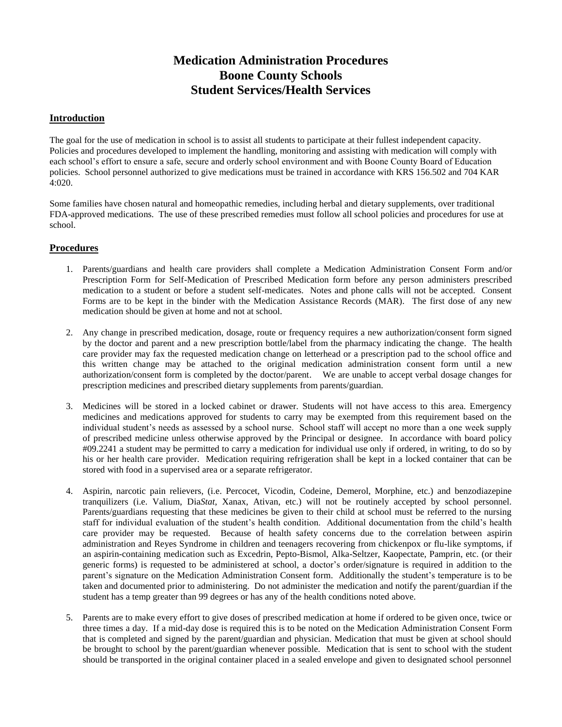# **Medication Administration Procedures Boone County Schools Student Services/Health Services**

#### **Introduction**

The goal for the use of medication in school is to assist all students to participate at their fullest independent capacity. Policies and procedures developed to implement the handling, monitoring and assisting with medication will comply with each school's effort to ensure a safe, secure and orderly school environment and with Boone County Board of Education policies. School personnel authorized to give medications must be trained in accordance with KRS 156.502 and 704 KAR 4:020.

Some families have chosen natural and homeopathic remedies, including herbal and dietary supplements, over traditional FDA-approved medications. The use of these prescribed remedies must follow all school policies and procedures for use at school.

### **Procedures**

- 1. Parents/guardians and health care providers shall complete a Medication Administration Consent Form and/or Prescription Form for Self-Medication of Prescribed Medication form before any person administers prescribed medication to a student or before a student self-medicates. Notes and phone calls will not be accepted. Consent Forms are to be kept in the binder with the Medication Assistance Records (MAR). The first dose of any new medication should be given at home and not at school.
- 2. Any change in prescribed medication, dosage, route or frequency requires a new authorization/consent form signed by the doctor and parent and a new prescription bottle/label from the pharmacy indicating the change. The health care provider may fax the requested medication change on letterhead or a prescription pad to the school office and this written change may be attached to the original medication administration consent form until a new authorization/consent form is completed by the doctor/parent. We are unable to accept verbal dosage changes for prescription medicines and prescribed dietary supplements from parents/guardian.
- 3. Medicines will be stored in a locked cabinet or drawer. Students will not have access to this area. Emergency medicines and medications approved for students to carry may be exempted from this requirement based on the individual student's needs as assessed by a school nurse. School staff will accept no more than a one week supply of prescribed medicine unless otherwise approved by the Principal or designee. In accordance with board policy #09.2241 a student may be permitted to carry a medication for individual use only if ordered, in writing, to do so by his or her health care provider. Medication requiring refrigeration shall be kept in a locked container that can be stored with food in a supervised area or a separate refrigerator.
- 4. Aspirin, narcotic pain relievers, (i.e. Percocet, Vicodin, Codeine, Demerol, Morphine, etc.) and benzodiazepine tranquilizers (i.e. Valium, Dia*Stat*, Xanax, Ativan, etc.) will not be routinely accepted by school personnel. Parents/guardians requesting that these medicines be given to their child at school must be referred to the nursing staff for individual evaluation of the student's health condition. Additional documentation from the child's health care provider may be requested. Because of health safety concerns due to the correlation between aspirin administration and Reyes Syndrome in children and teenagers recovering from chickenpox or flu-like symptoms, if an aspirin-containing medication such as Excedrin, Pepto-Bismol, Alka-Seltzer, Kaopectate, Pamprin, etc. (or their generic forms) is requested to be administered at school, a doctor's order/signature is required in addition to the parent's signature on the Medication Administration Consent form. Additionally the student's temperature is to be taken and documented prior to administering. Do not administer the medication and notify the parent/guardian if the student has a temp greater than 99 degrees or has any of the health conditions noted above.
- 5. Parents are to make every effort to give doses of prescribed medication at home if ordered to be given once, twice or three times a day. If a mid-day dose is required this is to be noted on the Medication Administration Consent Form that is completed and signed by the parent/guardian and physician. Medication that must be given at school should be brought to school by the parent/guardian whenever possible. Medication that is sent to school with the student should be transported in the original container placed in a sealed envelope and given to designated school personnel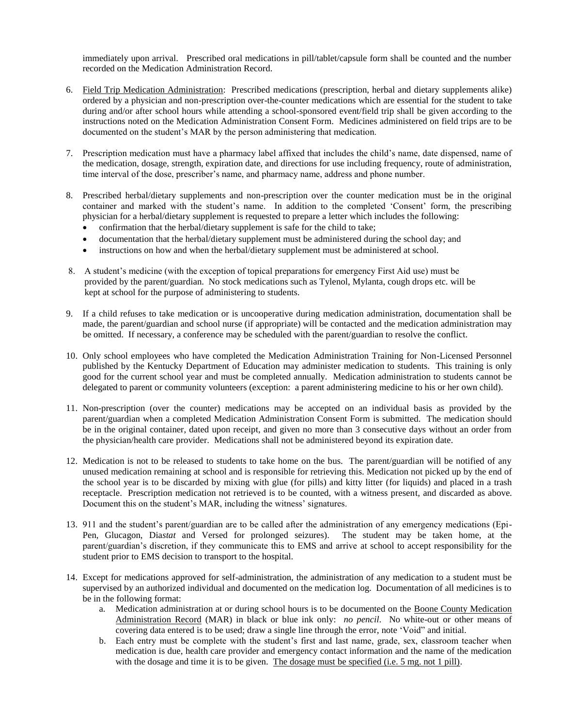immediately upon arrival. Prescribed oral medications in pill/tablet/capsule form shall be counted and the number recorded on the Medication Administration Record.

- 6. Field Trip Medication Administration: Prescribed medications (prescription, herbal and dietary supplements alike) ordered by a physician and non-prescription over-the-counter medications which are essential for the student to take during and/or after school hours while attending a school-sponsored event/field trip shall be given according to the instructions noted on the Medication Administration Consent Form. Medicines administered on field trips are to be documented on the student's MAR by the person administering that medication.
- 7. Prescription medication must have a pharmacy label affixed that includes the child's name, date dispensed, name of the medication, dosage, strength, expiration date, and directions for use including frequency, route of administration, time interval of the dose, prescriber's name, and pharmacy name, address and phone number.
- 8. Prescribed herbal/dietary supplements and non-prescription over the counter medication must be in the original container and marked with the student's name. In addition to the completed 'Consent' form, the prescribing physician for a herbal/dietary supplement is requested to prepare a letter which includes the following:
	- confirmation that the herbal/dietary supplement is safe for the child to take;
	- documentation that the herbal/dietary supplement must be administered during the school day; and
	- instructions on how and when the herbal/dietary supplement must be administered at school.
- 8. A student's medicine (with the exception of topical preparations for emergency First Aid use) must be provided by the parent/guardian. No stock medications such as Tylenol, Mylanta, cough drops etc. will be kept at school for the purpose of administering to students.
- 9. If a child refuses to take medication or is uncooperative during medication administration, documentation shall be made, the parent/guardian and school nurse (if appropriate) will be contacted and the medication administration may be omitted. If necessary, a conference may be scheduled with the parent/guardian to resolve the conflict.
- 10. Only school employees who have completed the Medication Administration Training for Non-Licensed Personnel published by the Kentucky Department of Education may administer medication to students. This training is only good for the current school year and must be completed annually. Medication administration to students cannot be delegated to parent or community volunteers (exception: a parent administering medicine to his or her own child).
- 11. Non-prescription (over the counter) medications may be accepted on an individual basis as provided by the parent/guardian when a completed Medication Administration Consent Form is submitted. The medication should be in the original container, dated upon receipt, and given no more than 3 consecutive days without an order from the physician/health care provider. Medications shall not be administered beyond its expiration date.
- 12. Medication is not to be released to students to take home on the bus. The parent/guardian will be notified of any unused medication remaining at school and is responsible for retrieving this. Medication not picked up by the end of the school year is to be discarded by mixing with glue (for pills) and kitty litter (for liquids) and placed in a trash receptacle. Prescription medication not retrieved is to be counted, with a witness present, and discarded as above. Document this on the student's MAR, including the witness' signatures.
- 13. 911 and the student's parent/guardian are to be called after the administration of any emergency medications (Epi-Pen, Glucagon, Dia*stat* and Versed for prolonged seizures). The student may be taken home, at the parent/guardian's discretion, if they communicate this to EMS and arrive at school to accept responsibility for the student prior to EMS decision to transport to the hospital.
- 14. Except for medications approved for self-administration, the administration of any medication to a student must be supervised by an authorized individual and documented on the medication log. Documentation of all medicines is to be in the following format:
	- a. Medication administration at or during school hours is to be documented on the Boone County Medication Administration Record (MAR) in black or blue ink only: *no pencil*. No white-out or other means of covering data entered is to be used; draw a single line through the error, note 'Void" and initial.
	- b. Each entry must be complete with the student's first and last name, grade, sex, classroom teacher when medication is due, health care provider and emergency contact information and the name of the medication with the dosage and time it is to be given. The dosage must be specified (i.e. 5 mg, not 1 pill).